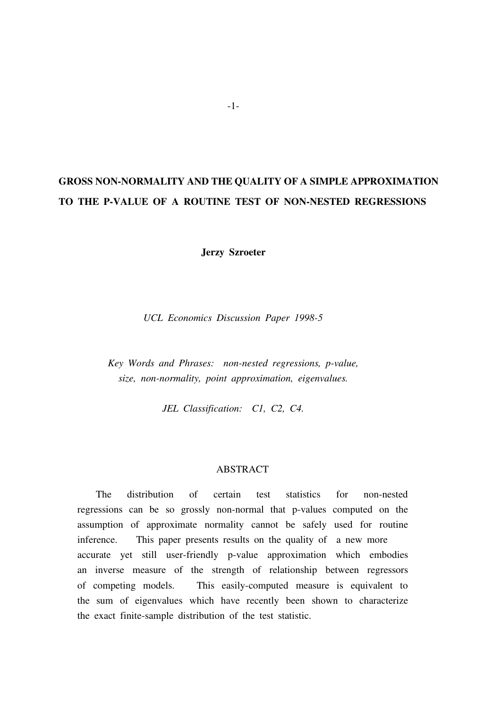# GROSS NON-NORMALITY AND THE QUALITY OF A SIMPLE APPROXIMATION TO THE P-VALUE OF A ROUTINE TEST OF NON-NESTED REGRESSIONS

Jerzy Szroeter

UCL Economics Discussion Paper 1998-5

Key Words and Phrases: non-nested regressions, p-value, size, non-normality, point approximation, eigenvalues.

JEL Classification: C1, C2, C4.

#### ABSTRACT

The distribution of certain test statistics for non-nested regressions can be so grossly non-normal that p-values computed on the assumption of approximate normality cannot be safely used for routine inference. This paper presents results on the quality of a new more accurate yet still user-friendly p-value approximation which embodies an inverse measure of the strength of relationship between regressors of competing models. This easily-computed measure is equivalent to the sum of eigenvalues which have recently been shown to characterize the exact finite-sample distribution of the test statistic.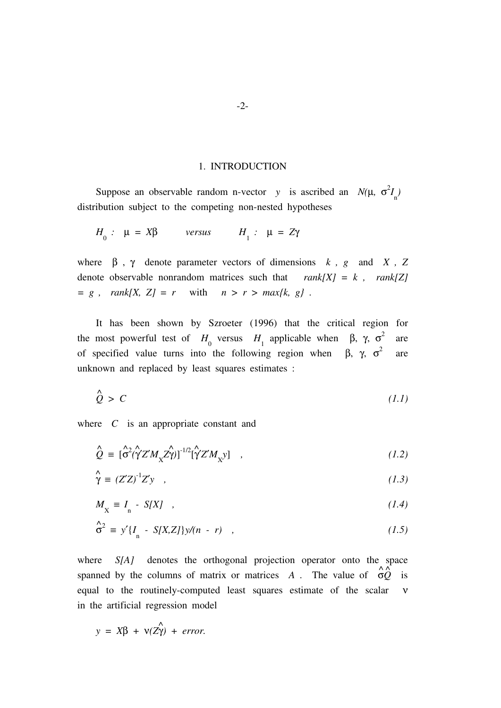#### 1. INTRODUCTION

Suppose an observable random n-vector y is ascribed an  $N(\mu, \sigma^2 I_n)$ distribution subject to the competing non-nested hypotheses

$$
H_0: \mu = X\beta \quad \text{versus} \quad H_1: \mu = Z\gamma
$$

where  $\beta$ ,  $\gamma$  denote parameter vectors of dimensions k, g and X, Z denote observable nonrandom matrices such that  $rank[X] = k$ ,  $rank[Z]$  $= g$ ,  $rank[X, Z] = r$  with  $n > r > max\{k, g\}$ .

It has been shown by Szroeter (1996) that the critical region for the most powerful test of  $H_0$  versus  $H_1$  applicable when  $\beta$ ,  $\gamma$ ,  $\sigma^2$  are of specified value turns into the following region when  $\beta$ ,  $\gamma$ ,  $\sigma^2$  are unknown and replaced by least squares estimates :

$$
\hat{Q} > C \tag{1.1}
$$

where  $C$  is an appropriate constant and

$$
\hat{Q} = [\hat{\sigma}^2 (\hat{\gamma} Z' M_{\chi} Z \hat{\gamma})]^{-1/2} [\hat{\gamma} Z' M_{\chi} y] , \qquad (1.2)
$$

$$
\hat{\gamma} = (Z'Z)^{-1}Z'y \quad , \tag{1.3}
$$

$$
M_{\chi} \equiv I_{n} - S[X] \quad , \tag{1.4}
$$

$$
\hat{\sigma}^2 \equiv y'\left\{I_n - S[X,Z]\right\}y/(n-r) \quad , \tag{1.5}
$$

where S[A] denotes the orthogonal projection operator onto the space spanned by the columns of matrix or matrices A. The value of  $\phi \overrightarrow{Q}$  is equal to the routinely-computed least squares estimate of the scalar ν in the artificial regression model

$$
y = X\beta + v(Z\hat{\gamma}) + error.
$$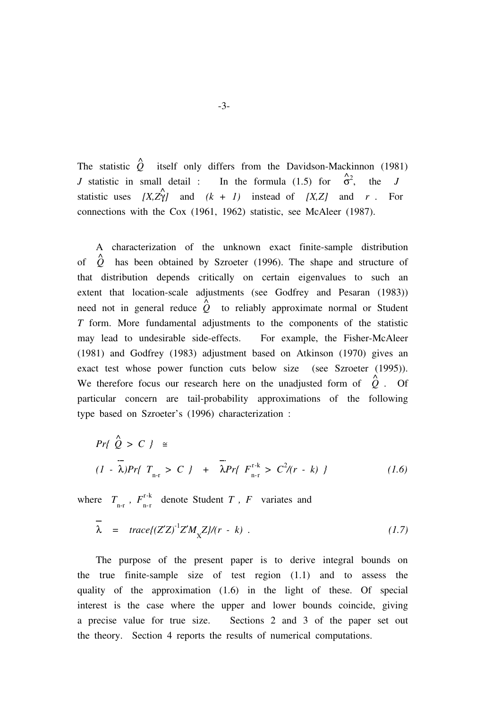The statistic  $\hat{Q}$  itself only differs from the Davidson-Mackinnon (1981) J statistic in small detail : In the formula (1.5) for  $\hat{\sigma}^2$ , the J statistic uses  $[X, Z\hat{Y}]$  and  $(k + 1)$  instead of  $[X, Z]$  and r . For connections with the Cox (1961, 1962) statistic, see McAleer (1987).

A characterization of the unknown exact finite-sample distribution of  $\hat{Q}$  has been obtained by Szroeter (1996). The shape and structure of that distribution depends critically on certain eigenvalues to such an extent that location-scale adjustments (see Godfrey and Pesaran (1983)) need not in general reduce  $\hat{Q}$  to reliably approximate normal or Student T form. More fundamental adjustments to the components of the statistic may lead to undesirable side-effects. For example, the Fisher-McAleer (1981) and Godfrey (1983) adjustment based on Atkinson (1970) gives an exact test whose power function cuts below size (see Szroeter (1995)). We therefore focus our research here on the unadjusted form of  $\hat{Q}$ . Of particular concern are tail-probability approximations of the following type based on Szroeter's (1996) characterization :

$$
Pr\{\n\begin{array}{l}\n\hat{Q} > C\n\end{array}\n\} \cong
$$
\n
$$
(1 - \lambda)Pr\{\n\begin{array}{l}\nT_{n-r} > C\n\end{array}\n\} + \frac{-}{\lambda} Pr\{\n\begin{array}{l}\nF_{n-r}^{r-k} > C^2/(r - k)\n\end{array}\n\}
$$
\n
$$
(1.6)
$$

where  $T_{n-r}$ ,  $F_{n-r}^{r-k}$  denote Student T, F variates and

$$
\overline{\lambda} = trace[(Z'Z)^{-1}Z'M_{\overline{X}}Z]/(r-k) . \qquad (1.7)
$$

The purpose of the present paper is to derive integral bounds on the true finite-sample size of test region (1.1) and to assess the quality of the approximation (1.6) in the light of these. Of special interest is the case where the upper and lower bounds coincide, giving a precise value for true size. Sections 2 and 3 of the paper set out the theory. Section 4 reports the results of numerical computations.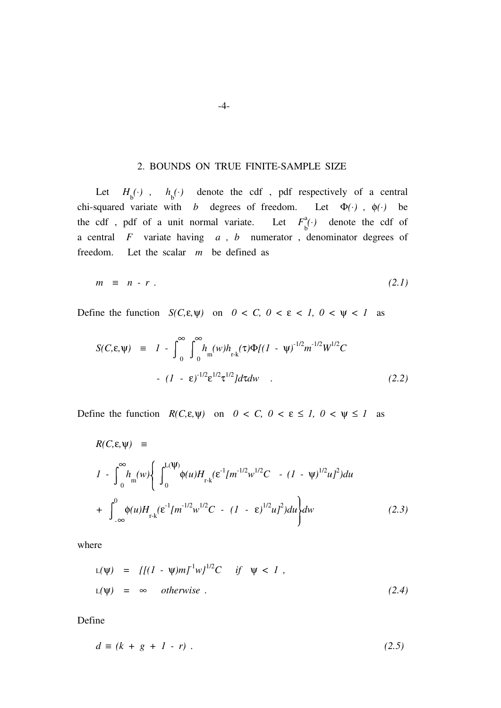#### 2. BOUNDS ON TRUE FINITE-SAMPLE SIZE

Let  $H_b^{(\cdot)}$ ,  $h_b^{(\cdot)}$  denote the cdf, pdf respectively of a central chi-squared variate with b degrees of freedom. Let  $\Phi(\cdot)$ ,  $\phi(\cdot)$  be the cdf, pdf of a unit normal variate. Let  $F_b^a(\cdot)$  denote the cdf of a central  $F$  variate having  $a$ ,  $b$  numerator, denominator degrees of freedom. Let the scalar  $m$  be defined as

$$
m \equiv n - r \tag{2.1}
$$

Define the function  $S(C, \varepsilon, \psi)$  on  $0 < C$ ,  $0 < \varepsilon < 1$ ,  $0 < \psi < 1$  as

$$
S(C, \varepsilon, \psi) = I - \int_0^\infty \int_0^\infty h_m(w) h_{r-k}(\tau) \Phi[(1 - \psi)^{-1/2} m^{-1/2} W^{1/2} C
$$
  
-  $(I - \varepsilon)^{-1/2} \varepsilon^{1/2} \tau^{1/2} d\tau dw$  (2.2)

Define the function  $R(C, \varepsilon, \psi)$  on  $0 < C$ ,  $0 < \varepsilon \le 1$ ,  $0 < \psi \le 1$  as

$$
R(C, \varepsilon, \Psi) =
$$
  
\n
$$
I - \int_{0}^{\infty} h_{m}(w) \left\{ \int_{0}^{L(\Psi)} \phi(u) H_{r-k}(\varepsilon^{1} [m^{-1/2} w^{1/2} C - (I - \Psi)^{1/2} u]^{2}) du + \int_{-\infty}^{0} \phi(u) H_{r-k}(\varepsilon^{1} [m^{-1/2} w^{1/2} C - (I - \varepsilon)^{1/2} u]^{2}) du \right\} dw
$$
(2.3)

where

$$
L(\Psi) = \{[(1 - \Psi)m]^{-1}w\}^{1/2}C \quad \text{if} \quad \Psi < 1,
$$
\n
$$
L(\Psi) = \infty \quad \text{otherwise}.
$$
\n
$$
(2.4)
$$

Define

$$
d \equiv (k + g + 1 - r) \tag{2.5}
$$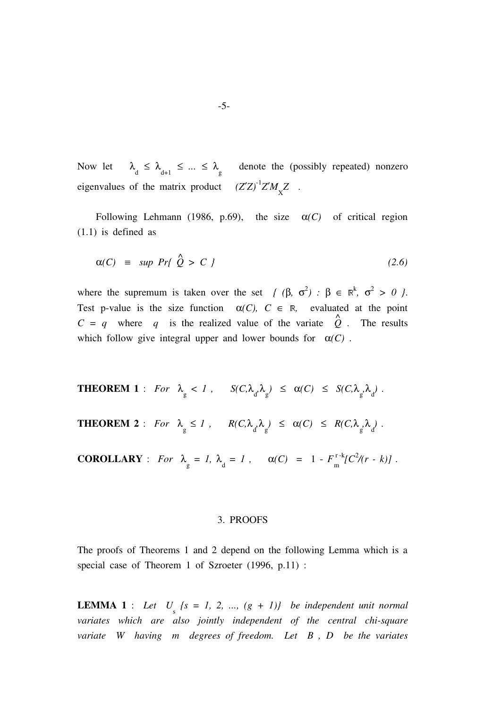Now let  $\lambda_d \leq \lambda_{d+1} \leq ... \leq \lambda_g$  denote the (possibly repeated) nonzero eigenvalues of the matrix product  $(Z'Z)^{-1}Z'M_{\overline{X}}Z$ .

Following Lehmann (1986, p.69), the size  $\alpha(C)$  of critical region (1.1) is defined as

$$
\alpha(C) \equiv \sup \ Pr\{ \stackrel{\wedge}{Q} > C \ \}
$$
 (2.6)

where the supremum is taken over the set  $\{ (\beta, \sigma^2) : \beta \in \mathbb{R}^k, \sigma^2 > 0 \}$ . Test p-value is the size function  $\alpha(C)$ ,  $C \in \mathbb{R}$ , evaluated at the point  $C = q$  where q is the realized value of the variate  $\hat{Q}$ . The results which follow give integral upper and lower bounds for  $\alpha(C)$ .

**THEOREM 1** : For  $\lambda_{g} < 1$ ,  $S(C, \lambda_{d}, \lambda_{g}) \leq \alpha(C) \leq S(C, \lambda_{g}, \lambda_{d})$ .

**THEOREM 2** : For  $\lambda_{g} \leq 1$ ,  $R(C, \lambda_{d} \lambda_{g}) \leq \alpha(C) \leq R(C, \lambda_{g} \lambda_{d})$ .

**COROLLARY** : For  $\lambda_g = 1$ ,  $\lambda_d = 1$ ,  $\alpha(C) = 1 - F_{\text{m}}^{T-k} [C^2 / (r - k)]$ .

#### 3. PROOFS

The proofs of Theorems 1 and 2 depend on the following Lemma which is a special case of Theorem 1 of Szroeter (1996, p.11) :

**LEMMA 1** : Let  $U_s$  { $s = 1, 2, ..., (g + 1)$ } be independent unit normal variates which are also jointly independent of the central chi-square variate W having  $m$  degrees of freedom. Let  $B$ ,  $D$  be the variates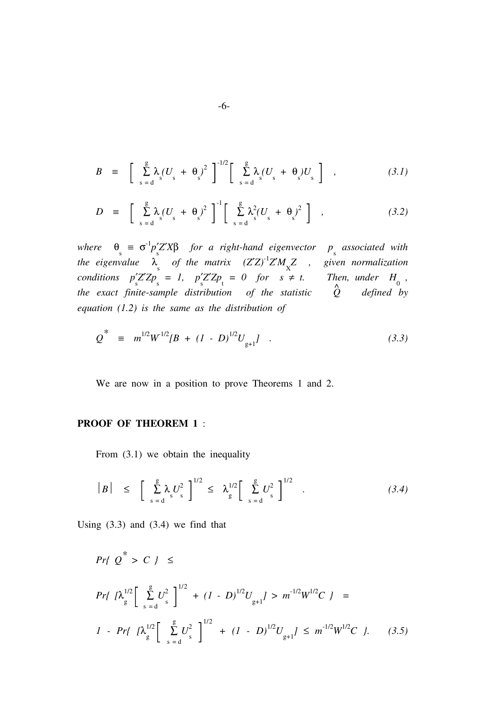$$
B = \left[ \sum_{s=d}^{g} \lambda_s (U_s + \theta_s)^2 \right]^{-1/2} \left[ \sum_{s=d}^{g} \lambda_s (U_s + \theta_s) U_s \right], \qquad (3.1)
$$

$$
D = \left[ \sum_{s=0}^{g} \lambda_s (U_s + \theta_s)^2 \right]^{-1} \left[ \sum_{s=0}^{g} \lambda_s^2 (U_s + \theta_s)^2 \right], \qquad (3.2)
$$

where  $\theta_s \equiv \sigma^1 p'_s Z' X \beta$  for a right-hand eigenvector  $p_s$  associated with the eigenvalue  $\lambda_s$  of the matrix  $(Z'Z)^1 Z' M_X Z$  , given normalization conditions  $p'_s Z' Z p_s = 1$ ,  $p'_s Z' Z p_t = 0$  for  $s \neq t$ . Then, under  $H_0$ , the exact finite-sample distribution of the statistic  $\hat{Q}$  defined by equation  $(1.2)$  is the same as the distribution of

$$
Q^* \equiv m^{1/2} W^{1/2} [B + (I - D)^{1/2} U_{g+1}] \quad . \tag{3.3}
$$

We are now in a position to prove Theorems 1 and 2.

### PROOF OF THEOREM 1 :

From  $(3.1)$  we obtain the inequality

$$
|B| \leq \left[ \sum_{s=d}^{g} \lambda_s U_s^2 \right]^{1/2} \leq \lambda_g^{1/2} \left[ \sum_{s=d}^{g} U_s^2 \right]^{1/2} . \tag{3.4}
$$

Using  $(3.3)$  and  $(3.4)$  we find that

$$
Pr\{Q^* > C\} \le
$$
\n
$$
Pr\{N_g^{1/2} \Big[ \sum_{s=d}^{g} U_s^2 \Big]^{1/2} + (I - D)^{1/2} U_{g+1} J > m^{-1/2} W^{1/2} C\} =
$$
\n
$$
I - Pr\{N_g^{1/2} \Big[ \sum_{s=d}^{g} U_s^2 \Big]^{1/2} + (I - D)^{1/2} U_{g+1} J \le m^{-1/2} W^{1/2} C\}. \tag{3.5}
$$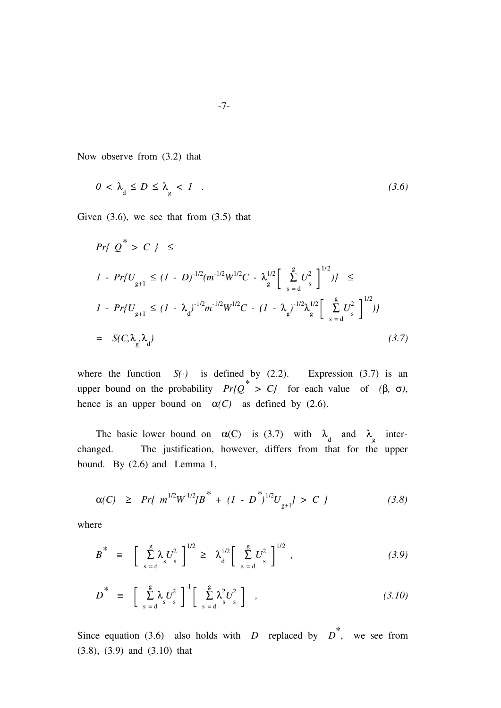Now observe from (3.2) that

$$
0 < \lambda_{d} \le D \le \lambda_{g} < I \quad . \tag{3.6}
$$

Given  $(3.6)$ , we see that from  $(3.5)$  that

$$
Pr\{Q^* > C\} \le
$$
\n
$$
1 - Pr\{U_{g+1} \le (1 - D)^{-1/2} (m^{-1/2} W^{1/2} C - \lambda_g^{1/2} \Big[ \sum_{s=d}^{g} U_s^2 \Big]^{1/2})\} \le
$$
\n
$$
1 - Pr\{U_{g+1} \le (1 - \lambda_d)^{-1/2} m^{-1/2} W^{1/2} C - (1 - \lambda_g)^{-1/2} \lambda_g^{1/2} \Big[ \sum_{s=d}^{g} U_s^2 \Big]^{1/2}\} \tag{3.7}
$$

where the function  $S(\cdot)$  is defined by (2.2). Expression (3.7) is an upper bound on the probability  $Pr{Q^* > C}$  for each value of (β, σ), hence is an upper bound on  $\alpha(C)$  as defined by (2.6).

The basic lower bound on  $\alpha(C)$  is (3.7) with  $\lambda_d$  and  $\lambda_g$  interchanged. The justification, however, differs from that for the upper bound. By (2.6) and Lemma 1,

$$
\alpha(C) \geq Pr\{ m^{1/2} W^{1/2} \left[ B^* + (I - D^*)^{1/2} U_{g+1} \right] > C \}
$$
 (3.8)

where

$$
B^* = \left[ \sum_{s=0}^{g} \lambda_s U_s^2 \right]^{1/2} \geq \lambda_d^{1/2} \left[ \sum_{s=0}^{g} U_s^2 \right]^{1/2}, \qquad (3.9)
$$

$$
D^* = \left[ \sum_{s=d}^{g} \lambda_s U_s^2 \right]^{-1} \left[ \sum_{s=d}^{g} \lambda_s^2 U_s^2 \right], \qquad (3.10)
$$

Since equation (3.6) also holds with D replaced by  $D^*$ , we see from (3.8), (3.9) and (3.10) that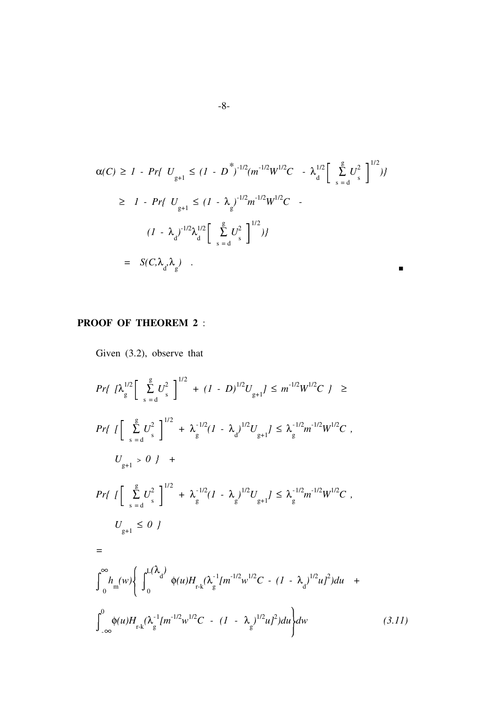$$
\alpha(C) \ge 1 - Pr\{ U_{g+1} \le (1 - D^*)^{-1/2} (m^{-1/2} W^{1/2} C - \lambda_d^{1/2} \left[ \sum_{s=d}^{g} U_s^2 \right]^{1/2}) \}
$$
  
\n
$$
\ge 1 - Pr\{ U_{g+1} \le (1 - \lambda_g)^{-1/2} m^{-1/2} W^{1/2} C - (1 - \lambda_d)^{-1/2} \lambda_d^{1/2} \left[ \sum_{s=d}^{g} U_s^2 \right]^{1/2} \}
$$
  
\n
$$
= S(C, \lambda_d, \lambda_g) .
$$

### PROOF OF THEOREM 2 :

Given (3.2), observe that

$$
Pr\left\{\left|\int_{g}^{1/2} \left[\sum_{s=d}^{g} U_{s}^{2}\right]^{1/2} + (1-D)^{1/2} U_{g+1}\right| \leq m^{-1/2} W^{1/2} C\right\} \ge
$$
\n
$$
Pr\left\{\left[\sum_{s=d}^{g} U_{s}^{2}\right]^{1/2} + \lambda_{g}^{-1/2} (1-\lambda_{d})^{1/2} U_{g+1}\right] \leq \lambda_{g}^{-1/2} m^{-1/2} W^{1/2} C\right\},
$$
\n
$$
U_{g+1} > 0\right\} +
$$
\n
$$
Pr\left\{\left[\sum_{s=d}^{g} U_{s}^{2}\right]^{1/2} + \lambda_{g}^{-1/2} (1-\lambda_{g})^{1/2} U_{g+1}\right\} \leq \lambda_{g}^{-1/2} m^{-1/2} W^{1/2} C\right\},
$$
\n
$$
U_{g+1} \leq 0\right\}
$$
\n
$$
=
$$
\n
$$
\int_{0}^{\infty} h_{m}(w) \left\{\int_{0}^{L(\lambda_{d})} \phi(u) H_{r-k}(\lambda_{g}^{-1} [m^{-1/2} w^{1/2} C - (1-\lambda_{d})^{1/2} u]^{2}) du\right\} +
$$
\n
$$
\int_{-\infty}^{0} \phi(u) H_{r-k}(\lambda_{g}^{-1} [m^{-1/2} w^{1/2} C - (1-\lambda_{g})^{1/2} u]^{2}) du\right\} dw
$$
\n(3.11)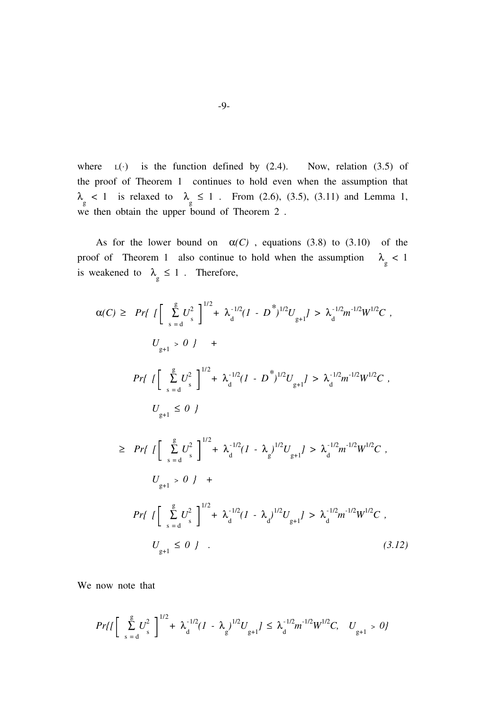where  $L(\cdot)$  is the function defined by (2.4). Now, relation (3.5) of the proof of Theorem 1 continues to hold even when the assumption that  $\lambda_{\rm g}$  < 1 is relaxed to  $\lambda_{\rm g} \le 1$ . From (2.6), (3.5), (3.11) and Lemma 1, we then obtain the upper bound of Theorem 2 .

As for the lower bound on  $\alpha(C)$ , equations (3.8) to (3.10) of the proof of Theorem 1 also continue to hold when the assumption  $\lambda_{\rm g}$  < 1 is weakened to  $\lambda_{\rm g} \leq 1$ . Therefore,

$$
\alpha(C) \geq Pr\left\{ \left[ \sum_{s=0}^{g} U_s^2 \right]^{1/2} + \lambda_{{d}}^{-1/2} (I - D^*)^{1/2} U_{g+1} \right\} > \lambda_{{d}}^{-1/2} m^{-1/2} W^{1/2} C ,
$$
\n
$$
U_{g+1} > 0 \right\} +
$$
\n
$$
Pr\left\{ \left[ \sum_{s=0}^{g} U_s^2 \right]^{1/2} + \lambda_{{d}}^{-1/2} (I - D^*)^{1/2} U_{g+1} \right\} > \lambda_{{d}}^{-1/2} m^{-1/2} W^{1/2} C ,
$$
\n
$$
U_{g+1} \leq 0 \right\}
$$
\n
$$
\geq Pr\left\{ \left[ \sum_{s=0}^{g} U_s^2 \right]^{1/2} + \lambda_{{d}}^{-1/2} (I - \lambda_g)^{1/2} U_{g+1} \right\} > \lambda_{{d}}^{-1/2} m^{-1/2} W^{1/2} C ,
$$
\n
$$
U_{g+1} > 0 \right\} +
$$
\n
$$
Pr\left\{ \left[ \sum_{s=0}^{g} U_s^2 \right]^{1/2} + \lambda_{{d}}^{-1/2} (I - \lambda_d)^{1/2} U_{g+1} \right\} > \lambda_{{d}}^{-1/2} m^{-1/2} W^{1/2} C ,
$$
\n
$$
U_{g+1} \leq 0 \right\} .
$$
\n(3.12)

We now note that

$$
Pr\{I\left[\sum_{s=a}^{g} U_s^2\right]^{1/2} + \lambda_d^{-1/2} (I - \lambda_g)^{1/2} U_{g+1} J \leq \lambda_d^{-1/2} m^{-1/2} W^{1/2} C, \quad U_{g+1} > 0\}
$$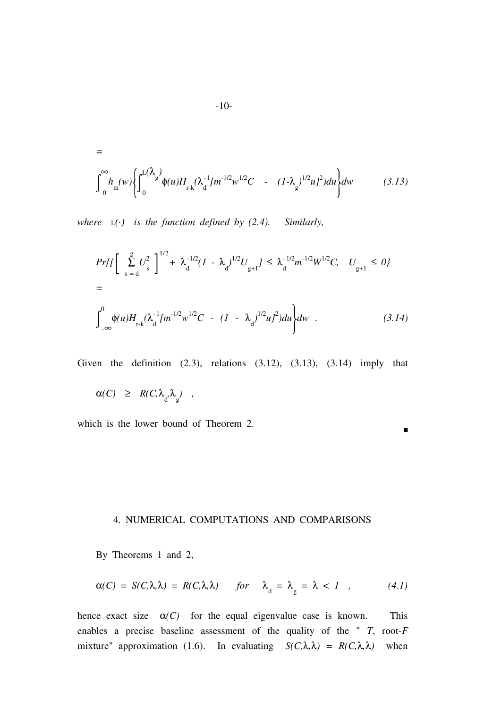$$
= \int_{0}^{\infty} h_{m}(w) \left\{ \int_{0}^{L(\lambda_{g})} \phi(u) H_{r-k}(\lambda_{d}^{-1} [m^{-1/2} w^{1/2} C - (1-\lambda_{g})^{1/2} u]^{2}) du \right\} dw
$$
 (3.13)

where  $L(\cdot)$  is the function defined by (2.4). Similarly,

$$
Pr\{I\left[\sum_{s=d}^{g} U_{s}^{2}\right]^{1/2} + \lambda_{d}^{-1/2} (I - \lambda_{d})^{1/2} U_{g+1} J \leq \lambda_{d}^{-1/2} m^{-1/2} W^{1/2} C, \quad U_{g+1} \leq 0\}
$$
  
=
$$
\int_{-\infty}^{0} \phi(u) H_{r-k} (\lambda_{d}^{-1} [m^{-1/2} w^{1/2} C - (I - \lambda_{d})^{1/2} u]^{2}) du \} dw . \qquad (3.14)
$$

Given the definition  $(2.3)$ , relations  $(3.12)$ ,  $(3.13)$ ,  $(3.14)$  imply that

P

$$
\alpha(C) \geq R(C, \lambda_d, \lambda_g) ,
$$

which is the lower bound of Theorem 2.

### 4. NUMERICAL COMPUTATIONS AND COMPARISONS

By Theorems 1 and 2,

$$
\alpha(C) = S(C, \lambda, \lambda) = R(C, \lambda, \lambda) \quad \text{for} \quad \lambda_{d} = \lambda_{g} = \lambda < 1 \quad , \tag{4.1}
$$

hence exact size  $\alpha(C)$  for the equal eigenvalue case is known. This enables a precise baseline assessment of the quality of the "  $T$ , root- $F$ mixture" approximation (1.6). In evaluating  $S(C, \lambda, \lambda) = R(C, \lambda, \lambda)$  when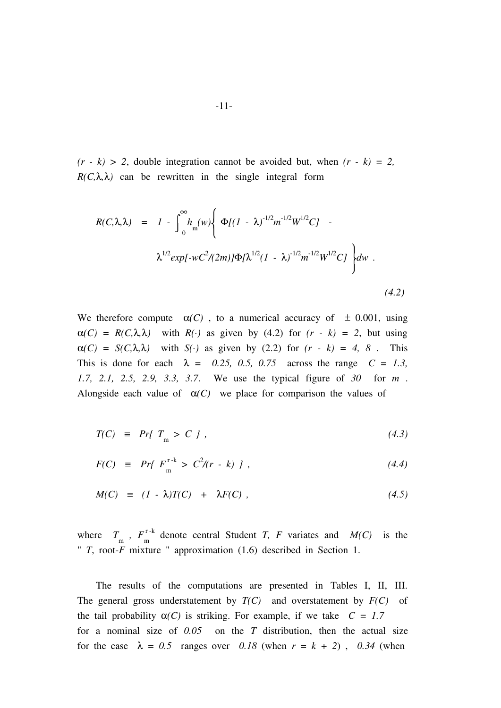$(r - k) > 2$ , double integration cannot be avoided but, when  $(r - k) = 2$ ,  $R(C, \lambda, \lambda)$  can be rewritten in the single integral form

$$
R(C,\lambda,\lambda) = 1 - \int_0^\infty h_m(w) \left\{ \Phi[(1-\lambda)^{-1/2}m^{-1/2}W^{1/2}C] - \lambda^{1/2}exp[-wC^2/(2m)]\Phi[\lambda^{1/2}(1-\lambda)^{-1/2}m^{-1/2}W^{1/2}C] \right\} dw.
$$
\n(4.2)

We therefore compute  $\alpha(C)$ , to a numerical accuracy of  $\pm$  0.001, using  $\alpha(C) = R(C,\lambda,\lambda)$  with  $R(\cdot)$  as given by (4.2) for  $(r - k) = 2$ , but using  $\alpha(C) = S(C, \lambda, \lambda)$  with  $S(\cdot)$  as given by (2.2) for  $(r - k) = 4, 8$ . This This is done for each  $\lambda = 0.25, 0.5, 0.75$  across the range  $C = 1.3$ , 1.7, 2.1, 2.5, 2.9, 3.3, 3.7. We use the typical figure of 30 for m . Alongside each value of  $\alpha(C)$  we place for comparison the values of

$$
T(C) \equiv Pr\{T_{\text{m}} > C \}, \qquad (4.3)
$$

$$
F(C) \equiv Pr\{F_{m}^{r-k} > C^{2}/(r-k) \}, \qquad (4.4)
$$

$$
M(C) \equiv (1 - \lambda)T(C) + \lambda F(C) , \qquad (4.5)
$$

where  $T_{\text{m}}$ ,  $F_{\text{m}}^{\text{r-k}}$  denote central Student T, F variates and  $M(C)$  is the "  $T$ , root- $\overline{F}$  mixture " approximation (1.6) described in Section 1.

The results of the computations are presented in Tables I, II, III. The general gross understatement by  $T(C)$  and overstatement by  $F(C)$  of the tail probability  $\alpha(C)$  is striking. For example, if we take  $C = 1.7$ for a nominal size of  $0.05$  on the T distribution, then the actual size for the case  $\lambda = 0.5$  ranges over 0.18 (when  $r = k + 2$ ), 0.34 (when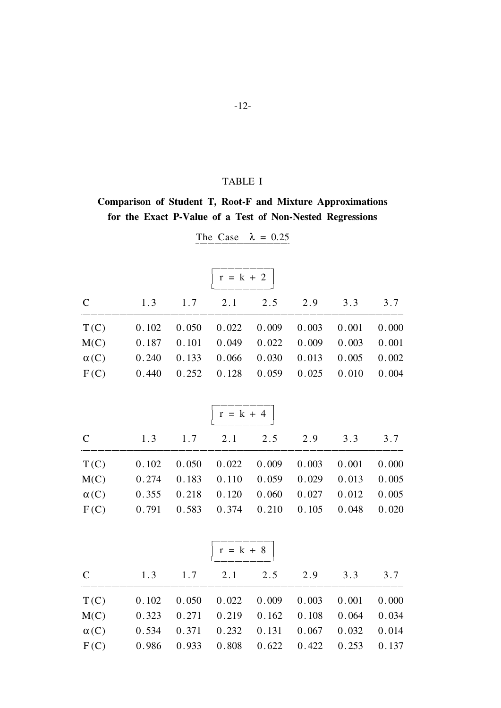### TABLE I

## Comparison of Student T, Root-F and Mixture Approximations for the Exact P-Value of a Test of Non-Nested Regressions

| $r = k + 2$  |       |       |             |       |       |       |       |  |
|--------------|-------|-------|-------------|-------|-------|-------|-------|--|
| $\mathbf C$  | 1.3   | 1.7   | 2.1         | 2.5   | 2.9   | 3.3   | 3.7   |  |
| T(C)         | 0.102 | 0.050 | 0.022       | 0.009 | 0.003 | 0.001 | 0.000 |  |
| M(C)         | 0.187 | 0.101 | 0.049       | 0.022 | 0.009 | 0.003 | 0.001 |  |
| $\alpha(C)$  | 0.240 | 0.133 | 0.066       | 0.030 | 0.013 | 0.005 | 0.002 |  |
| F(C)         | 0.440 | 0.252 | 0.128       | 0.059 | 0.025 | 0.010 | 0.004 |  |
|              |       |       | $r = k + 4$ |       |       |       |       |  |
| $\mathbf C$  | 1.3   | 1.7   | 2.1         | 2.5   | 2.9   | 3.3   | 3.7   |  |
| T(C)         | 0.102 | 0.050 | 0.022       | 0.009 | 0.003 | 0.001 | 0.000 |  |
| M(C)         | 0.274 | 0.183 | 0.110       | 0.059 | 0.029 | 0.013 | 0.005 |  |
| $\alpha(C)$  | 0.355 | 0.218 | 0.120       | 0.060 | 0.027 | 0.012 | 0.005 |  |
| F(C)         | 0.791 | 0.583 | 0.374       | 0.210 | 0.105 | 0.048 | 0.020 |  |
|              |       |       | $r = k + 8$ |       |       |       |       |  |
|              |       |       |             |       |       |       |       |  |
| $\mathsf{C}$ | 1.3   | 1.7   | 2.1         | 2.5   | 2.9   | 3.3   | 3.7   |  |
| T(C)         | 0.102 | 0.050 | 0.022       | 0.009 | 0.003 | 0.001 | 0.000 |  |
| M(C)         | 0.323 | 0.271 | 0.219       | 0.162 | 0.108 | 0.064 | 0.034 |  |
| $\alpha(C)$  | 0.534 | 0.371 | 0.232       | 0.131 | 0.067 | 0.032 | 0.014 |  |
| F(C)         | 0.986 | 0.933 | 0.808       | 0.622 | 0.422 | 0.253 | 0.137 |  |

The Case  $\lambda = 0.25$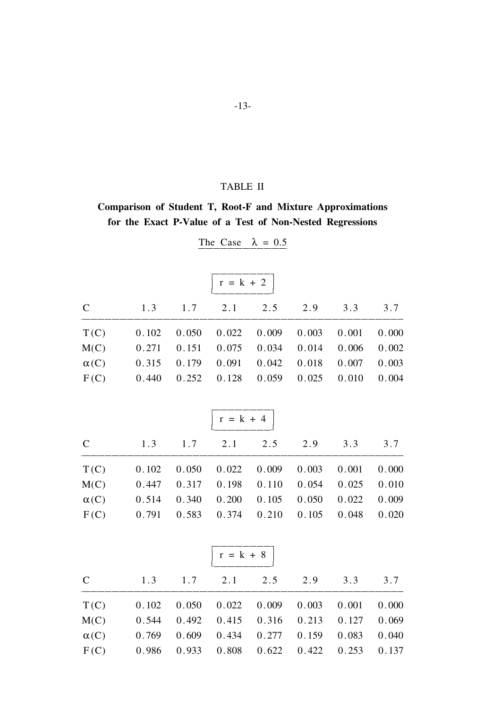### TABLE II

## Comparison of Student T, Root-F and Mixture Approximations for the Exact P-Value of a Test of Non-Nested Regressions

|              |       |       | $r = k + 2$ |       |       |       |       |
|--------------|-------|-------|-------------|-------|-------|-------|-------|
| $\mathbf C$  | 1.3   | 1.7   | 2.1         | 2.5   | 2.9   | 3.3   | 3.7   |
| T(C)         | 0.102 | 0.050 | 0.022       | 0.009 | 0.003 | 0.001 | 0.000 |
| M(C)         | 0.271 | 0.151 | 0.075       | 0.034 | 0.014 | 0.006 | 0.002 |
| $\alpha(C)$  | 0.315 | 0.179 | 0.091       | 0.042 | 0.018 | 0.007 | 0.003 |
| F(C)         | 0.440 | 0.252 | 0.128       | 0.059 | 0.025 | 0.010 | 0.004 |
|              |       |       | $r = k + 4$ |       |       |       |       |
| $\mathbf C$  | 1.3   | 1.7   | 2.1         | 2.5   | 2.9   | 3.3   | 3.7   |
| T(C)         | 0.102 | 0.050 | 0.022       | 0.009 | 0.003 | 0.001 | 0.000 |
| M(C)         | 0.447 | 0.317 | 0.198       | 0.110 | 0.054 | 0.025 | 0.010 |
| $\alpha(C)$  | 0.514 | 0.340 | 0.200       | 0.105 | 0.050 | 0.022 | 0.009 |
| F(C)         | 0.791 | 0.583 | 0.374       | 0.210 | 0.105 | 0.048 | 0.020 |
|              |       |       | $r = k + 8$ |       |       |       |       |
|              |       |       |             |       |       |       |       |
| $\mathsf{C}$ | 1.3   | 1.7   | 2.1         | 2.5   | 2.9   | 3.3   | 3.7   |
| T(C)         | 0.102 | 0.050 | 0.022       | 0.009 | 0.003 | 0.001 | 0.000 |
| M(C)         | 0.544 | 0.492 | 0.415       | 0.316 | 0.213 | 0.127 | 0.069 |
| $\alpha(C)$  | 0.769 | 0.609 | 0.434       | 0.277 | 0.159 | 0.083 | 0.040 |
| F(C)         | 0.986 | 0.933 | 0.808       | 0.622 | 0.422 | 0.253 | 0.137 |

The Case  $\lambda = 0.5$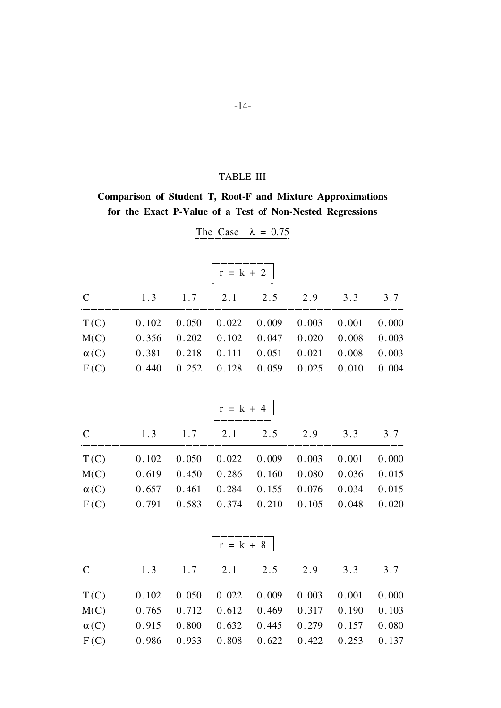### **TABLE III**

## Comparison of Student T, Root-F and Mixture Approximations for the Exact P-Value of a Test of Non-Nested Regressions

| $r = k + 2$ |       |       |             |       |       |       |       |  |
|-------------|-------|-------|-------------|-------|-------|-------|-------|--|
| $\mathbf C$ | 1.3   | 1.7   | 2.1         | 2.5   | 2.9   | 3.3   | 3.7   |  |
| T(C)        | 0.102 | 0.050 | 0.022       | 0.009 | 0.003 | 0.001 | 0.000 |  |
| M(C)        | 0.356 | 0.202 | 0.102       | 0.047 | 0.020 | 0.008 | 0.003 |  |
| $\alpha(C)$ | 0.381 | 0.218 | 0.111       | 0.051 | 0.021 | 0.008 | 0.003 |  |
| F(C)        | 0.440 | 0.252 | 0.128       | 0.059 | 0.025 | 0.010 | 0.004 |  |
|             |       |       | $r = k + 4$ |       |       |       |       |  |
|             |       |       |             |       |       |       |       |  |
| $\mathbf C$ | 1.3   | 1.7   | 2.1         | 2.5   | 2.9   | 3.3   | 3.7   |  |
| T(C)        | 0.102 | 0.050 | 0.022       | 0.009 | 0.003 | 0.001 | 0.000 |  |
| M(C)        | 0.619 | 0.450 | 0.286       | 0.160 | 0.080 | 0.036 | 0.015 |  |
| $\alpha(C)$ | 0.657 | 0.461 | 0.284       | 0.155 | 0.076 | 0.034 | 0.015 |  |
| F(C)        | 0.791 | 0.583 | 0.374       | 0.210 | 0.105 | 0.048 | 0.020 |  |
|             |       |       | $r = k + 8$ |       |       |       |       |  |
|             |       |       |             |       |       |       |       |  |
| $\mathbf C$ | 1.3   | 1.7   | 2.1         | 2.5   | 2.9   | 3.3   | 3.7   |  |
| T(C)        | 0.102 | 0.050 | 0.022       | 0.009 | 0.003 | 0.001 | 0.000 |  |
| M(C)        | 0.765 | 0.712 | 0.612       | 0.469 | 0.317 | 0.190 | 0.103 |  |
| $\alpha(C)$ | 0.915 | 0.800 | 0.632       | 0.445 | 0.279 | 0.157 | 0.080 |  |
| F(C)        | 0.986 | 0.933 | 0.808       | 0.622 | 0.422 | 0.253 | 0.137 |  |

The Case  $\lambda = 0.75$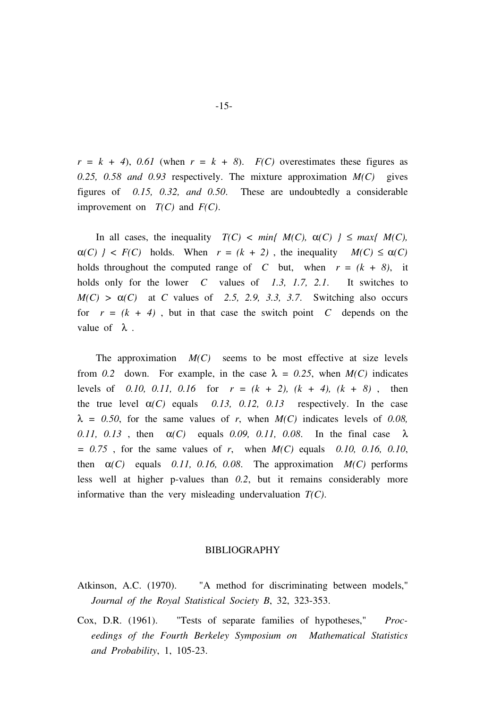$r = k + 4$ , 0.61 (when  $r = k + 8$ ).  $F(C)$  overestimates these figures as 0.25, 0.58 and 0.93 respectively. The mixture approximation  $M(C)$  gives figures of 0.15, 0.32, and 0.50. These are undoubtedly a considerable improvement on  $T(C)$  and  $F(C)$ .

In all cases, the inequality  $T(C) < min\{M(C), \alpha(C) \} \leq max\{M(C),$  $\alpha(C)$   $\geq F(C)$  holds. When  $r = (k + 2)$ , the inequality  $M(C) \leq \alpha(C)$ holds throughout the computed range of C but, when  $r = (k + 8)$ , it holds only for the lower C values of 1.3, 1.7, 2.1. It switches to  $M(C) > \alpha(C)$  at C values of 2.5, 2.9, 3.3, 3.7. Switching also occurs for  $r = (k + 4)$ , but in that case the switch point C depends on the value of  $\lambda$ .

The approximation  $M(C)$  seems to be most effective at size levels from 0.2 down. For example, in the case  $\lambda = 0.25$ , when  $M(C)$  indicates levels of 0.10, 0.11, 0.16 for  $r = (k + 2)$ ,  $(k + 4)$ ,  $(k + 8)$ , then the true level  $\alpha(C)$  equals 0.13, 0.12, 0.13 respectively. In the case  $\lambda$  = 0.50, for the same values of r, when  $M(C)$  indicates levels of 0.08, 0.11, 0.13, then  $\alpha(C)$  equals 0.09, 0.11, 0.08. In the final case  $\lambda$  $= 0.75$ , for the same values of r, when  $M(C)$  equals 0.10, 0.16, 0.10, then  $\alpha(C)$  equals 0.11, 0.16, 0.08. The approximation  $M(C)$  performs less well at higher p-values than 0.2, but it remains considerably more informative than the very misleading undervaluation  $T(C)$ .

#### BIBLIOGRAPHY

- Atkinson, A.C. (1970). "A method for discriminating between models," Journal of the Royal Statistical Society B, 32, 323-353.
- Cox, D.R. (1961). "Tests of separate families of hypotheses," Proceedings of the Fourth Berkeley Symposium on Mathematical Statistics and Probability, 1, 105-23.